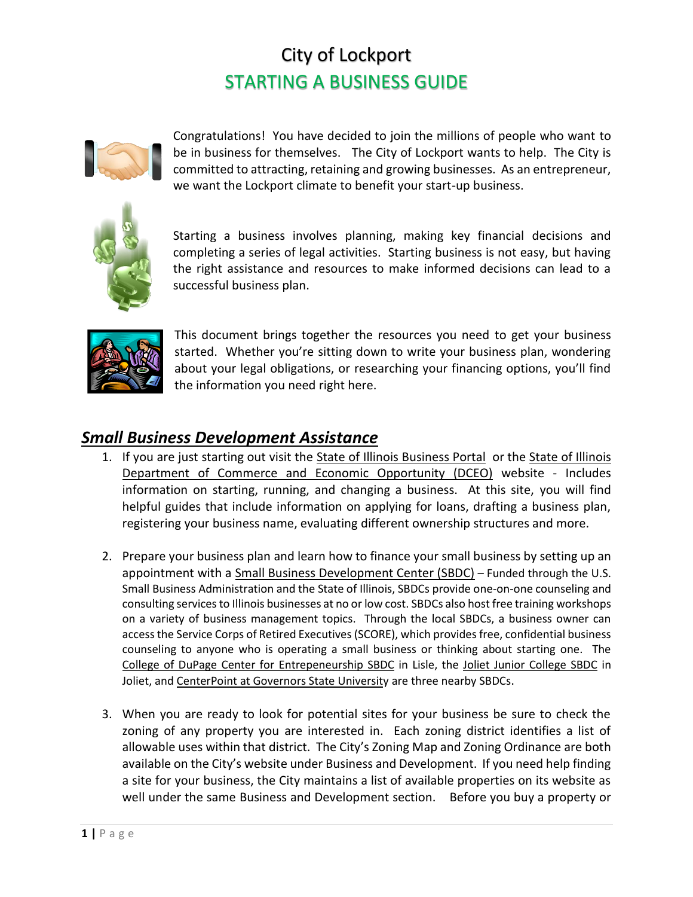# City of Lockport STARTING A BUSINESS GUIDE



Congratulations! You have decided to join the millions of people who want to be in business for themselves. The City of Lockport wants to help. The City is committed to attracting, retaining and growing businesses. As an entrepreneur, we want the Lockport climate to benefit your start-up business.



Starting a business involves planning, making key financial decisions and completing a series of legal activities. Starting business is not easy, but having the right assistance and resources to make informed decisions can lead to a successful business plan.



This document brings together the resources you need to get your business started. Whether you're sitting down to write your business plan, wondering about your legal obligations, or researching your financing options, you'll find the information you need right here.

### *Small Business Development Assistance*

- 1. If you are just starting out visit the State of Illinois Business Portal or the State of Illinois Department of Commerce and Economic Opportunity (DCEO) website - Includes information on starting, running, and changing a business. At this site, you will find helpful guides that include information on applying for loans, drafting a business plan, registering your business name, evaluating different ownership structures and more.
- 2. Prepare your business plan and learn how to finance your small business by setting up an appointment with a Small Business Development Center (SBDC) – Funded through the U.S. Small Business Administration and the State of Illinois, SBDCs provide one-on-one counseling and consulting services to Illinois businesses at no or low cost. SBDCs also host free training workshops on a variety of business management topics. Through the local SBDCs, a business owner can access the Service Corps of Retired Executives (SCORE), which provides free, confidential business counseling to anyone who is operating a small business or thinking about starting one. The College of DuPage Center for Entrepeneurship SBDC in Lisle, the Joliet Junior College SBDC in Joliet, and CenterPoint at Governors State University are three nearby SBDCs.
- 3. When you are ready to look for potential sites for your business be sure to check the zoning of any property you are interested in. Each zoning district identifies a list of allowable uses within that district. The City's Zoning Map and Zoning Ordinance are both available on the City's website under Business and Development. If you need help finding a site for your business, the City maintains a list of available properties on its website as well under the same Business and Development section. Before you buy a property or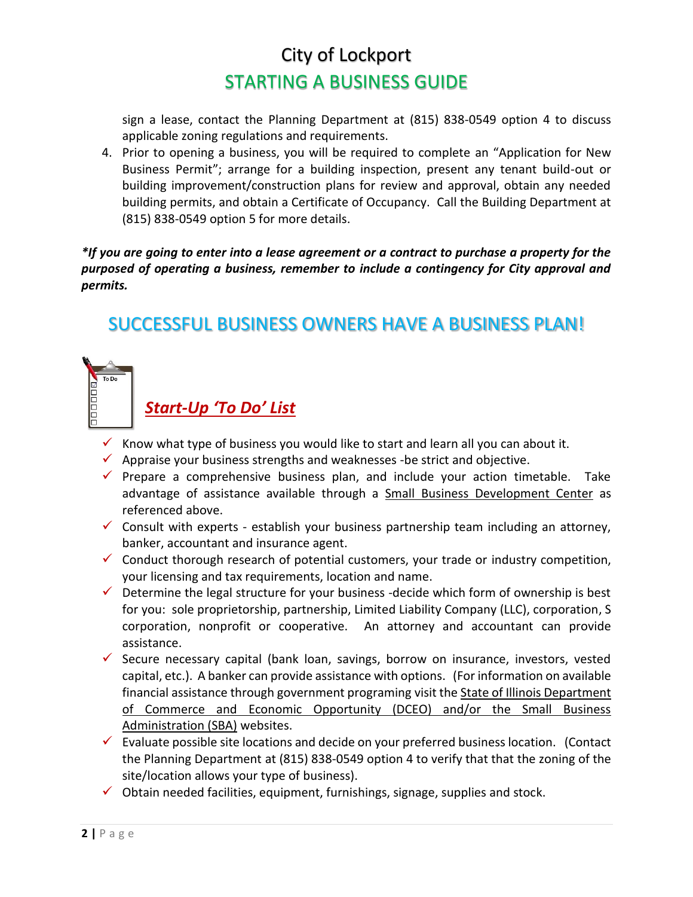# City of Lockport STARTING A BUSINESS GUIDE

sign a lease, contact the Planning Department at (815) 838-0549 option 4 to discuss applicable zoning regulations and requirements.

4. Prior to opening a business, you will be required to complete an "Application for New Business Permit"; arrange for a building inspection, present any tenant build-out or building improvement/construction plans for review and approval, obtain any needed building permits, and obtain a Certificate of Occupancy. Call the Building Department at (815) 838-0549 option 5 for more details.

#### *\*If you are going to enter into a lease agreement or a contract to purchase a property for the purposed of operating a business, remember to include a contingency for City approval and permits.*

## SUCCESSFUL BUSINESS OWNERS HAVE A BUSINESS PLAN!



## *Start-Up 'To Do' List*

- Know what type of business you would like to start and learn all you can about it.
- $\checkmark$  Appraise your business strengths and weaknesses -be strict and objective.
- $\checkmark$  Prepare a comprehensive business plan, and include your action timetable. Take advantage of assistance available through a Small Business Development Center as referenced above.
- $\checkmark$  Consult with experts establish your business partnership team including an attorney, banker, accountant and insurance agent.
- $\checkmark$  Conduct thorough research of potential customers, your trade or industry competition, your licensing and tax requirements, location and name.
- $\checkmark$  Determine the legal structure for your business -decide which form of ownership is best for you: sole proprietorship, partnership, Limited Liability Company (LLC), corporation, S corporation, nonprofit or cooperative. An attorney and accountant can provide assistance.
- $\checkmark$  Secure necessary capital (bank loan, savings, borrow on insurance, investors, vested capital, etc.). A banker can provide assistance with options. (For information on available financial assistance through government programing visit the State of Illinois Department of Commerce and Economic Opportunity (DCEO) and/or the Small Business Administration (SBA) websites.
- $\checkmark$  Evaluate possible site locations and decide on your preferred business location. (Contact the Planning Department at (815) 838-0549 option 4 to verify that that the zoning of the site/location allows your type of business).
- $\checkmark$  Obtain needed facilities, equipment, furnishings, signage, supplies and stock.